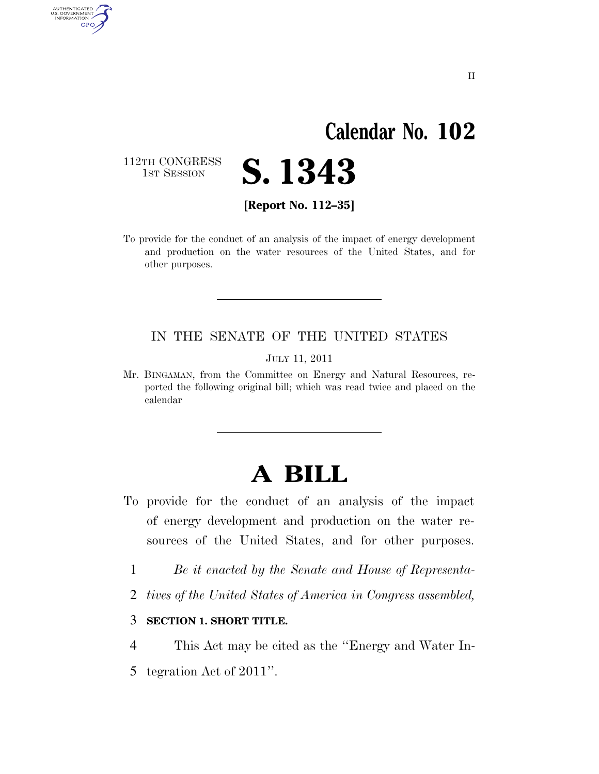# **Calendar No. 102**

112TH CONGRESS<br>1st Session

AUTHENTICATED<br>U.S. GOVERNMENT<br>INFORMATION

**GPO** 

**[Report No. 112–35]** 

**S. 1343** 

To provide for the conduct of an analysis of the impact of energy development and production on the water resources of the United States, and for other purposes.

### IN THE SENATE OF THE UNITED STATES

JULY 11, 2011

Mr. BINGAMAN, from the Committee on Energy and Natural Resources, reported the following original bill; which was read twice and placed on the calendar

## **A BILL**

- To provide for the conduct of an analysis of the impact of energy development and production on the water resources of the United States, and for other purposes.
	- 1 *Be it enacted by the Senate and House of Representa-*
	- 2 *tives of the United States of America in Congress assembled,*
	- 3 **SECTION 1. SHORT TITLE.**

4 This Act may be cited as the ''Energy and Water In-

5 tegration Act of 2011''.

II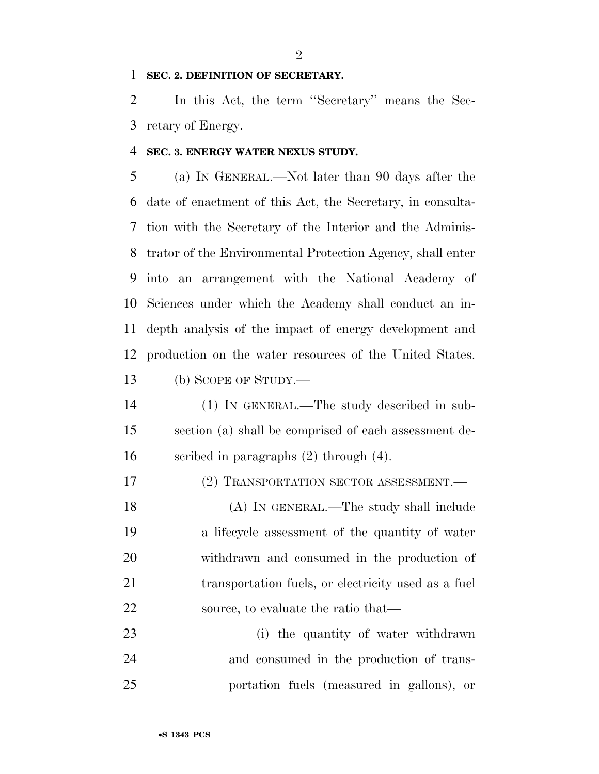### **SEC. 2. DEFINITION OF SECRETARY.**

 In this Act, the term ''Secretary'' means the Sec-retary of Energy.

### **SEC. 3. ENERGY WATER NEXUS STUDY.**

 (a) IN GENERAL.—Not later than 90 days after the date of enactment of this Act, the Secretary, in consulta- tion with the Secretary of the Interior and the Adminis- trator of the Environmental Protection Agency, shall enter into an arrangement with the National Academy of Sciences under which the Academy shall conduct an in- depth analysis of the impact of energy development and production on the water resources of the United States.

(b) SCOPE OF STUDY.—

 (1) IN GENERAL.—The study described in sub- section (a) shall be comprised of each assessment de-scribed in paragraphs (2) through (4).

17 (2) TRANSPORTATION SECTOR ASSESSMENT.

 (A) IN GENERAL.—The study shall include a lifecycle assessment of the quantity of water withdrawn and consumed in the production of 21 transportation fuels, or electricity used as a fuel 22 source, to evaluate the ratio that—

23 (i) the quantity of water withdrawn and consumed in the production of trans-portation fuels (measured in gallons), or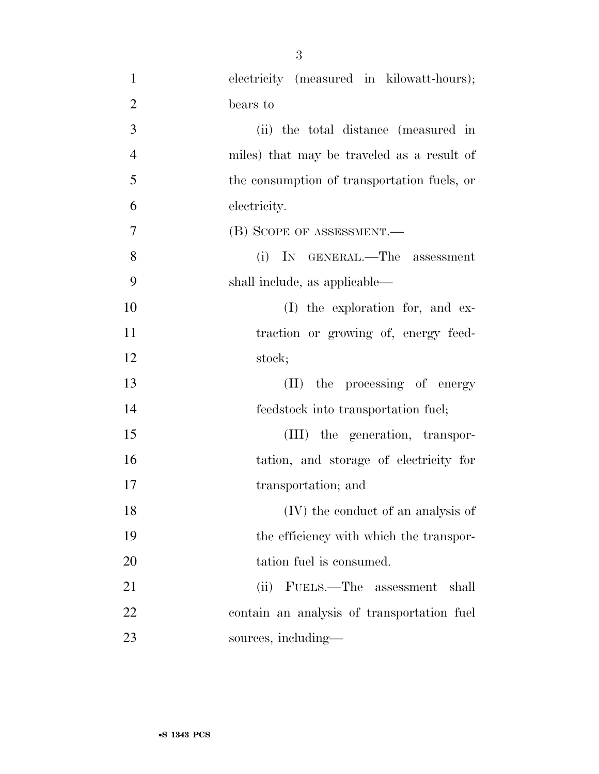| $\mathbf{1}$   | electricity (measured in kilowatt-hours);   |
|----------------|---------------------------------------------|
| $\overline{2}$ | bears to                                    |
| 3              | (ii) the total distance (measured in        |
| $\overline{4}$ | miles) that may be traveled as a result of  |
| 5              | the consumption of transportation fuels, or |
| 6              | electricity.                                |
| 7              | (B) SCOPE OF ASSESSMENT.                    |
| 8              | (i) IN GENERAL.—The assessment              |
| 9              | shall include, as applicable—               |
| 10             | (I) the exploration for, and ex-            |
| 11             | traction or growing of, energy feed-        |
| 12             | stock;                                      |
| 13             | (II) the processing of energy               |
| 14             | feedstock into transportation fuel;         |
| 15             | (III) the generation, transpor-             |
| 16             | tation, and storage of electricity for      |
| 17             | transportation; and                         |
| 18             | (IV) the conduct of an analysis of          |
| 19             | the efficiency with which the transpor-     |
| 20             | tation fuel is consumed.                    |
| 21             | FUELS.—The assessment<br>(ii)<br>shall      |
| 22             | contain an analysis of transportation fuel  |
| 23             | sources, including—                         |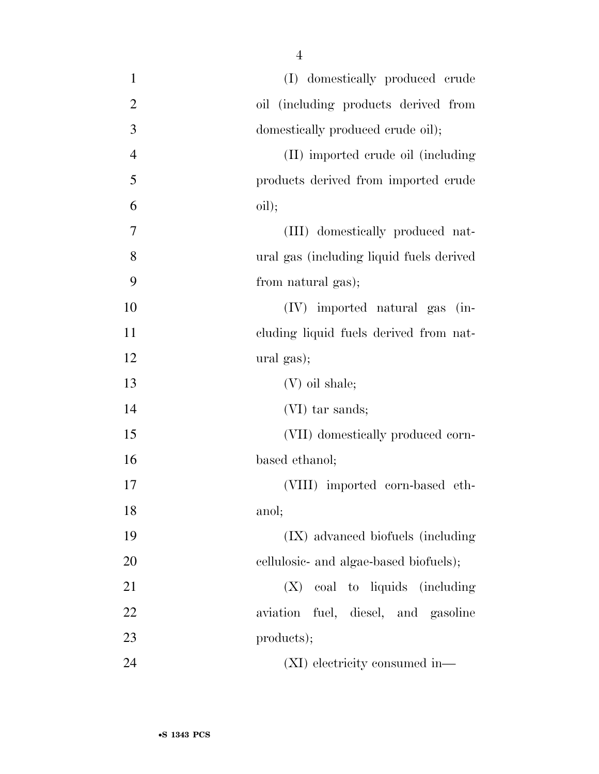| $\mathbf{1}$   | (I) domestically produced crude          |
|----------------|------------------------------------------|
| $\overline{2}$ | oil (including products derived from     |
| 3              | domestically produced crude oil);        |
| $\overline{4}$ | (II) imported crude oil (including       |
| 5              | products derived from imported crude     |
| 6              | oil);                                    |
| 7              | (III) domestically produced nat-         |
| 8              | ural gas (including liquid fuels derived |
| 9              | from natural gas);                       |
| 10             | $(IV)$ imported natural gas $(in-)$      |
| 11             | cluding liquid fuels derived from nat-   |
| 12             | ural gas);                               |
| 13             | (V) oil shale;                           |
| 14             | (VI) tar sands;                          |
| 15             | (VII) domestically produced corn-        |
| 16             | based ethanol;                           |
| 17             | (VIII) imported corn-based eth-          |
| 18             | anol;                                    |
| 19             | (IX) advanced biofuels (including        |
| 20             | cellulosic- and algae-based biofuels);   |
| 21             | $(X)$ coal to liquids (including         |
| 22             | aviation fuel, diesel, and gasoline      |
| 23             | products);                               |
| 24             | (XI) electricity consumed in—            |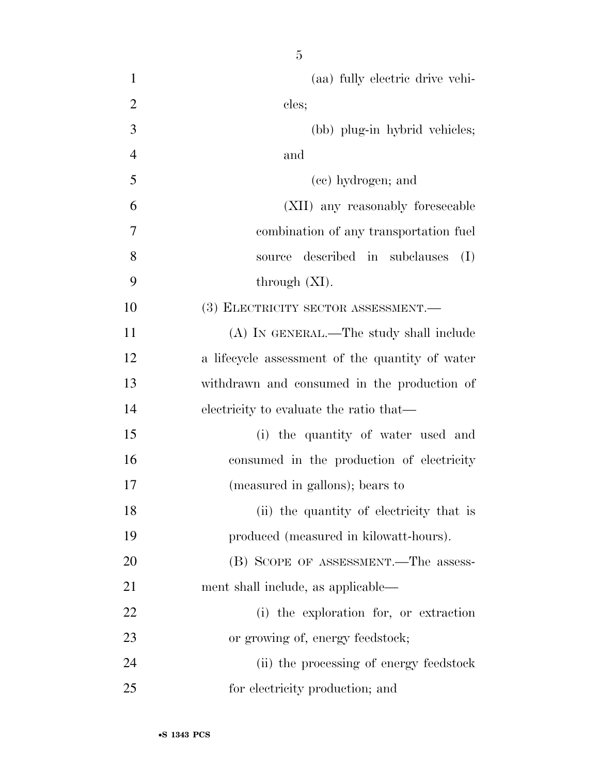(aa) fully electric drive vehi-2 cles; (bb) plug-in hybrid vehicles; and (cc) hydrogen; and (XII) any reasonably foreseeable combination of any transportation fuel source described in subclauses (I) through  $(XI)$ . 10 (3) ELECTRICITY SECTOR ASSESSMENT. (A) IN GENERAL.—The study shall include a lifecycle assessment of the quantity of water withdrawn and consumed in the production of electricity to evaluate the ratio that— (i) the quantity of water used and consumed in the production of electricity (measured in gallons); bears to 18 (ii) the quantity of electricity that is produced (measured in kilowatt-hours). 20 (B) SCOPE OF ASSESSMENT.—The assess-21 ment shall include, as applicable— (i) the exploration for, or extraction 23 or growing of, energy feedstock;

 (ii) the processing of energy feedstock for electricity production; and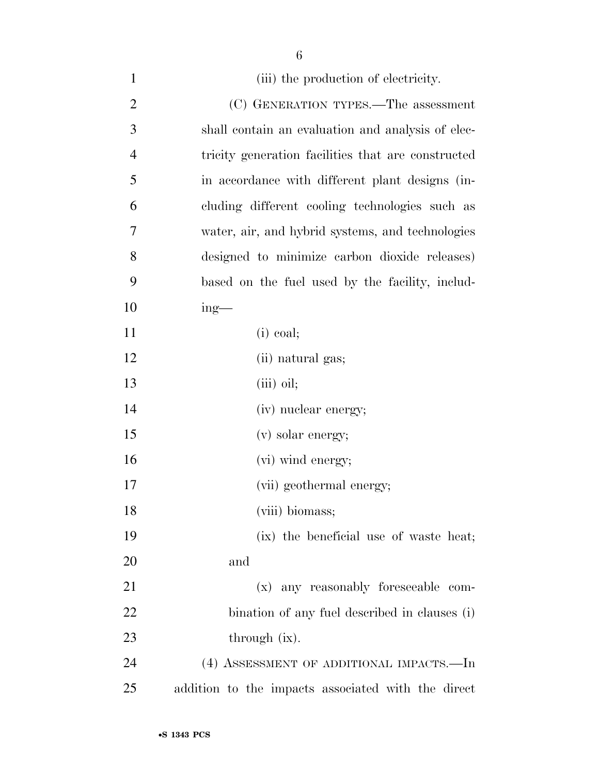| $\mathbf{1}$   | (iii) the production of electricity.               |
|----------------|----------------------------------------------------|
| $\overline{2}$ | (C) GENERATION TYPES.—The assessment               |
| 3              | shall contain an evaluation and analysis of elec-  |
| $\overline{4}$ | tricity generation facilities that are constructed |
| 5              | in accordance with different plant designs (in-    |
| 6              | cluding different cooling technologies such as     |
| 7              | water, air, and hybrid systems, and technologies   |
| 8              | designed to minimize carbon dioxide releases)      |
| 9              | based on the fuel used by the facility, includ-    |
| 10             | $ing$ —                                            |
| 11             | $(i)$ coal;                                        |
| 12             | (ii) natural gas;                                  |
| 13             | $(iii)$ oil;                                       |
| 14             | (iv) nuclear energy;                               |
| 15             | (v) solar energy;                                  |
| 16             | (vi) wind energy;                                  |
| 17             | (vii) geothermal energy;                           |
| 18             | (viii) biomass;                                    |
| 19             | (ix) the beneficial use of waste heat;             |
| 20             | and                                                |
| 21             | (x) any reasonably foreseeable com-                |
| 22             | bination of any fuel described in clauses (i)      |
| 23             | through (ix).                                      |
| 24             | (4) ASSESSMENT OF ADDITIONAL IMPACTS.—In           |
| 25             | addition to the impacts associated with the direct |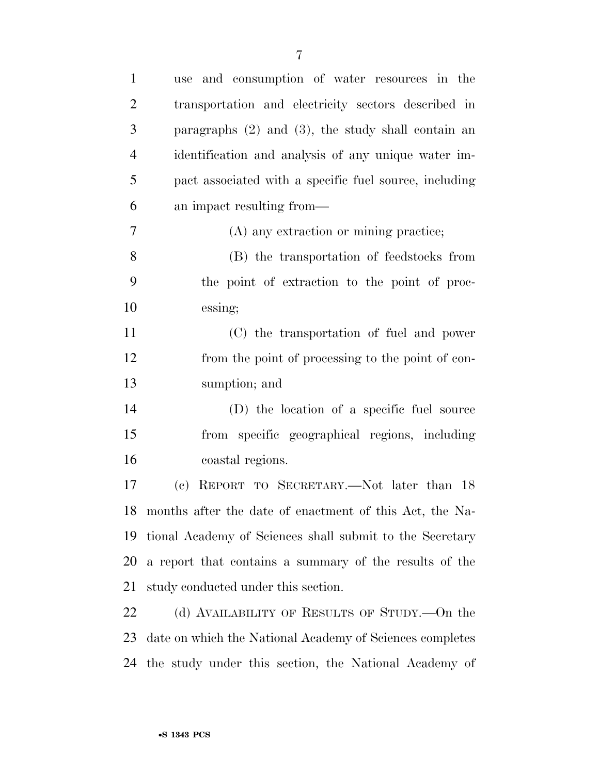| $\mathbf{1}$   | and consumption of water resources in the<br>use           |
|----------------|------------------------------------------------------------|
| $\overline{2}$ | transportation and electricity sectors described in        |
| 3              | paragraphs $(2)$ and $(3)$ , the study shall contain an    |
| $\overline{4}$ | identification and analysis of any unique water im-        |
| 5              | pact associated with a specific fuel source, including     |
| 6              | an impact resulting from—                                  |
| 7              | (A) any extraction or mining practice;                     |
| 8              | (B) the transportation of feedstocks from                  |
| 9              | the point of extraction to the point of proc-              |
| 10             | essing;                                                    |
| 11             | (C) the transportation of fuel and power                   |
| 12             | from the point of processing to the point of con-          |
| 13             | sumption; and                                              |
| 14             | (D) the location of a specific fuel source                 |
| 15             | from specific geographical regions, including              |
| 16             | coastal regions.                                           |
| 17             | REPORT TO SECRETARY.—Not later than 18<br>(e)              |
|                | 18 months after the date of enactment of this Act, the Na- |
| 19             | tional Academy of Sciences shall submit to the Secretary   |
| 20             | a report that contains a summary of the results of the     |
| 21             | study conducted under this section.                        |
| 22             | (d) AVAILABILITY OF RESULTS OF STUDY.—On the               |
| 23             | date on which the National Academy of Sciences completes   |
| 24             | the study under this section, the National Academy of      |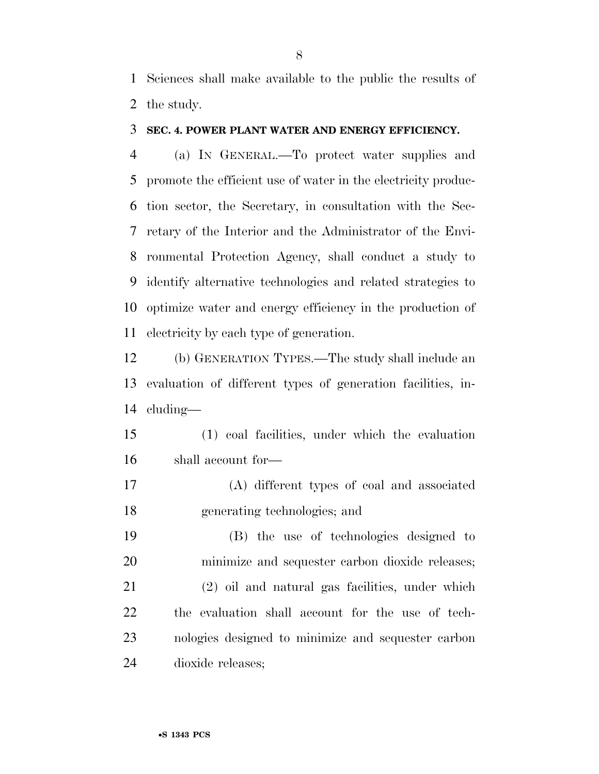Sciences shall make available to the public the results of the study.

### **SEC. 4. POWER PLANT WATER AND ENERGY EFFICIENCY.**

 (a) IN GENERAL.—To protect water supplies and promote the efficient use of water in the electricity produc- tion sector, the Secretary, in consultation with the Sec- retary of the Interior and the Administrator of the Envi- ronmental Protection Agency, shall conduct a study to identify alternative technologies and related strategies to optimize water and energy efficiency in the production of electricity by each type of generation.

 (b) GENERATION TYPES.—The study shall include an evaluation of different types of generation facilities, in-cluding—

 (1) coal facilities, under which the evaluation shall account for—

 (A) different types of coal and associated generating technologies; and

 (B) the use of technologies designed to minimize and sequester carbon dioxide releases; (2) oil and natural gas facilities, under which the evaluation shall account for the use of tech- nologies designed to minimize and sequester carbon dioxide releases;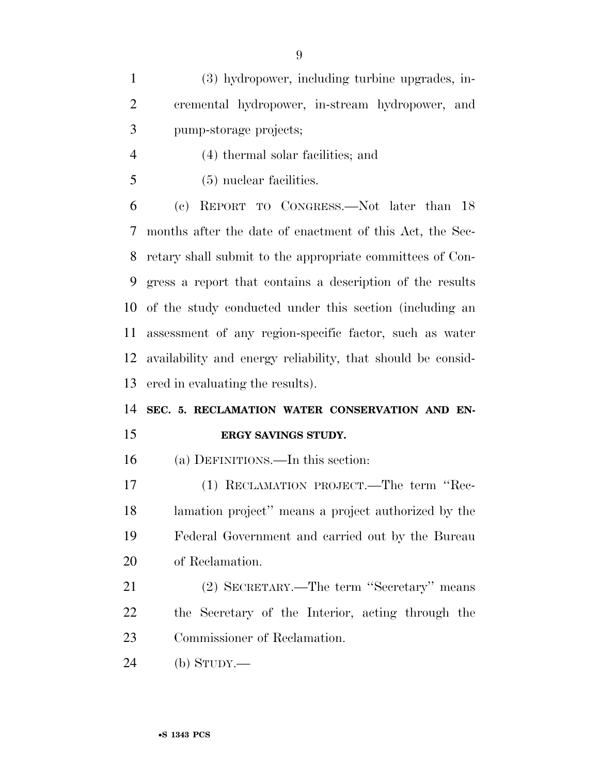(3) hydropower, including turbine upgrades, in- cremental hydropower, in-stream hydropower, and pump-storage projects;

- (4) thermal solar facilities; and
- (5) nuclear facilities.

 (c) REPORT TO CONGRESS.—Not later than 18 months after the date of enactment of this Act, the Sec- retary shall submit to the appropriate committees of Con- gress a report that contains a description of the results of the study conducted under this section (including an assessment of any region-specific factor, such as water availability and energy reliability, that should be consid-ered in evaluating the results).

# **SEC. 5. RECLAMATION WATER CONSERVATION AND EN-**

### **ERGY SAVINGS STUDY.**

(a) DEFINITIONS.—In this section:

 (1) RECLAMATION PROJECT.—The term ''Rec- lamation project'' means a project authorized by the Federal Government and carried out by the Bureau of Reclamation.

 (2) SECRETARY.—The term ''Secretary'' means the Secretary of the Interior, acting through the Commissioner of Reclamation.

(b) STUDY.—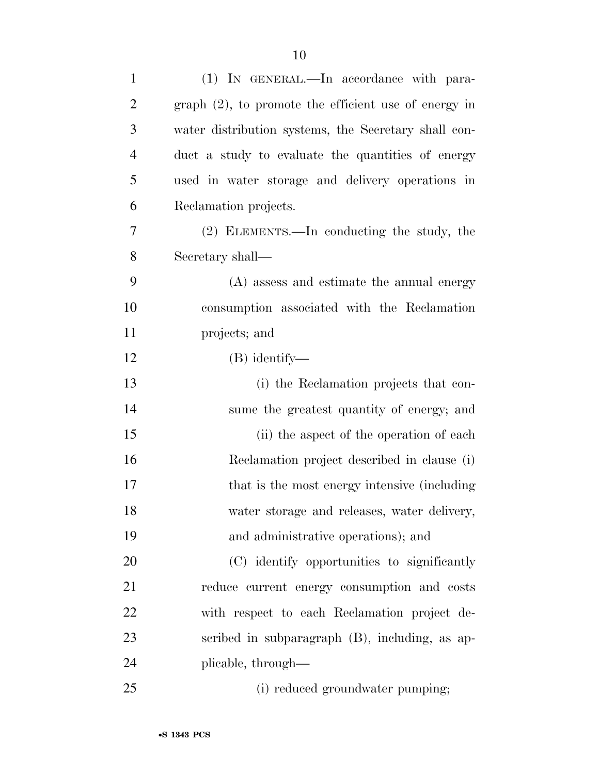| $\mathbf{1}$   | (1) IN GENERAL.—In accordance with para-                |
|----------------|---------------------------------------------------------|
| $\overline{2}$ | $graph (2)$ , to promote the efficient use of energy in |
| 3              | water distribution systems, the Secretary shall con-    |
| $\overline{4}$ | duct a study to evaluate the quantities of energy       |
| 5              | used in water storage and delivery operations in        |
| 6              | Reclamation projects.                                   |
| 7              | (2) ELEMENTS.—In conducting the study, the              |
| 8              | Secretary shall—                                        |
| 9              | (A) assess and estimate the annual energy               |
| 10             | consumption associated with the Reclamation             |
| 11             | projects; and                                           |
| 12             | $(B)$ identify—                                         |
| 13             | (i) the Reclamation projects that con-                  |
| 14             | sume the greatest quantity of energy; and               |
| 15             | (ii) the aspect of the operation of each                |
| 16             | Reclamation project described in clause (i)             |
| 17             | that is the most energy intensive (including            |
| 18             | water storage and releases, water delivery,             |
| 19             | and administrative operations); and                     |
| 20             | (C) identify opportunities to significantly             |
| 21             | reduce current energy consumption and costs             |
| 22             | with respect to each Reclamation project de-            |
| 23             | scribed in subparagraph (B), including, as ap-          |
| 24             | plicable, through—                                      |
| 25             | (i) reduced groundwater pumping;                        |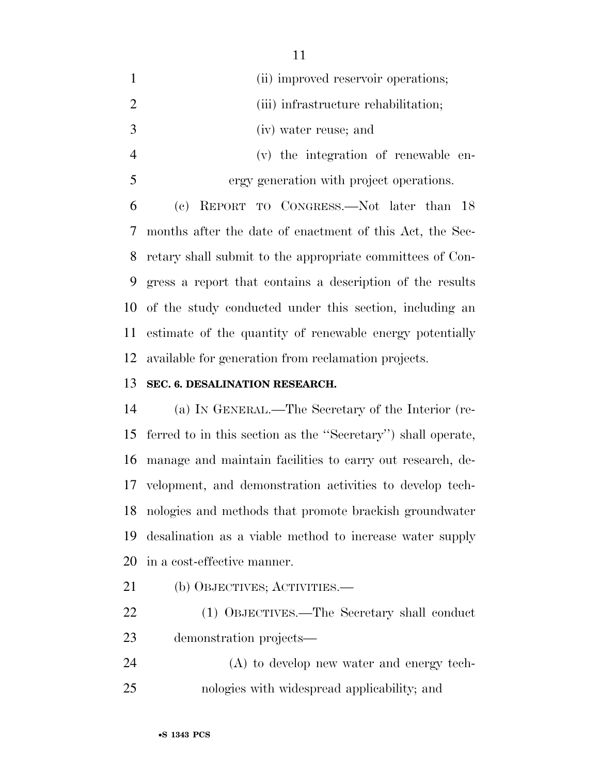|                | (ii) improved reservoir operations;                      |
|----------------|----------------------------------------------------------|
|                | (iii) infrastructure rehabilitation;                     |
| -3             | (iv) water reuse; and                                    |
| $\overline{4}$ | (v) the integration of renewable en-                     |
| -5             | ergy generation with project operations.                 |
| 6              | (c) REPORT TO CONGRESS.—Not later than 18                |
| $\frac{1}{2}$  | months after the date of enactment of this Act, the Sec- |

 retary shall submit to the appropriate committees of Con- gress a report that contains a description of the results of the study conducted under this section, including an estimate of the quantity of renewable energy potentially available for generation from reclamation projects.

### **SEC. 6. DESALINATION RESEARCH.**

 (a) IN GENERAL.—The Secretary of the Interior (re- ferred to in this section as the ''Secretary'') shall operate, manage and maintain facilities to carry out research, de- velopment, and demonstration activities to develop tech- nologies and methods that promote brackish groundwater desalination as a viable method to increase water supply in a cost-effective manner.

(b) OBJECTIVES; ACTIVITIES.—

- (1) OBJECTIVES.—The Secretary shall conduct demonstration projects—
- (A) to develop new water and energy tech-nologies with widespread applicability; and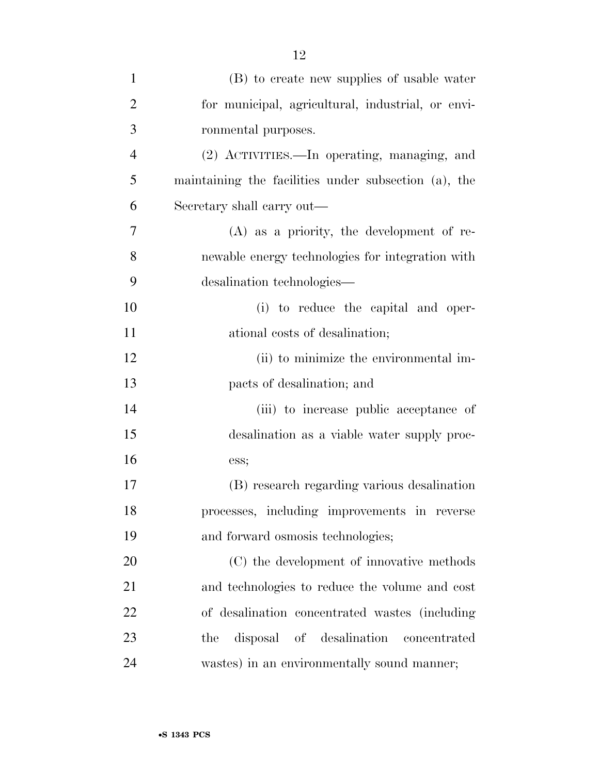| $\mathbf{1}$   | (B) to create new supplies of usable water           |
|----------------|------------------------------------------------------|
| $\overline{2}$ | for municipal, agricultural, industrial, or envi-    |
| 3              | ronmental purposes.                                  |
| $\overline{4}$ | (2) ACTIVITIES.—In operating, managing, and          |
| 5              | maintaining the facilities under subsection (a), the |
| 6              | Secretary shall carry out—                           |
| 7              | $(A)$ as a priority, the development of re-          |
| 8              | newable energy technologies for integration with     |
| 9              | desalination technologies—                           |
| 10             | (i) to reduce the capital and oper-                  |
| 11             | ational costs of desalination;                       |
| 12             | (ii) to minimize the environmental im-               |
| 13             | pacts of desalination; and                           |
| 14             | (iii) to increase public acceptance of               |
| 15             | desalination as a viable water supply proc-          |
| 16             | ess;                                                 |
| 17             | (B) research regarding various desalination          |
| 18             | processes, including improvements in reverse         |
| 19             | and forward osmosis technologies;                    |
| 20             | (C) the development of innovative methods            |
| 21             | and technologies to reduce the volume and cost       |
| 22             | of desalination concentrated wastes (including       |
| 23             | disposal of desalination<br>the<br>concentrated      |
| 24             | wastes) in an environmentally sound manner;          |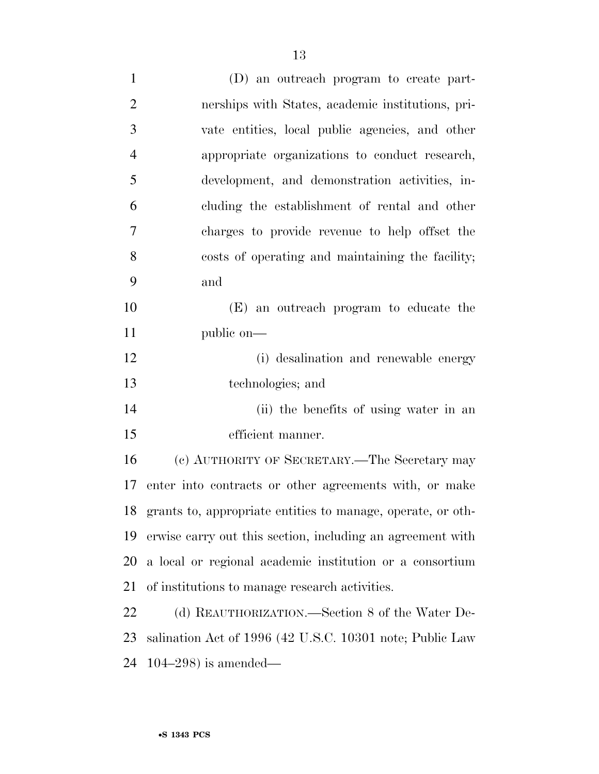| $\mathbf{1}$   | (D) an outreach program to create part-                     |
|----------------|-------------------------------------------------------------|
| $\overline{2}$ | nerships with States, academic institutions, pri-           |
| 3              | vate entities, local public agencies, and other             |
| $\overline{4}$ | appropriate organizations to conduct research,              |
| 5              | development, and demonstration activities, in-              |
| 6              | cluding the establishment of rental and other               |
| $\overline{7}$ | charges to provide revenue to help offset the               |
| 8              | costs of operating and maintaining the facility;            |
| 9              | and                                                         |
| 10             | (E) an outreach program to educate the                      |
| 11             | public on—                                                  |
| 12             | (i) desalination and renewable energy                       |
| 13             | technologies; and                                           |
| 14             | (ii) the benefits of using water in an                      |
| 15             | efficient manner.                                           |
| 16             | (c) AUTHORITY OF SECRETARY.—The Secretary may               |
| 17             | enter into contracts or other agreements with, or make      |
| 18             | grants to, appropriate entities to manage, operate, or oth- |
| 19             | erwise carry out this section, including an agreement with  |
| 20             | a local or regional academic institution or a consortium    |
| 21             | of institutions to manage research activities.              |
| 22             | (d) REAUTHORIZATION.—Section 8 of the Water De-             |

 salination Act of 1996 (42 U.S.C. 10301 note; Public Law 104–298) is amended—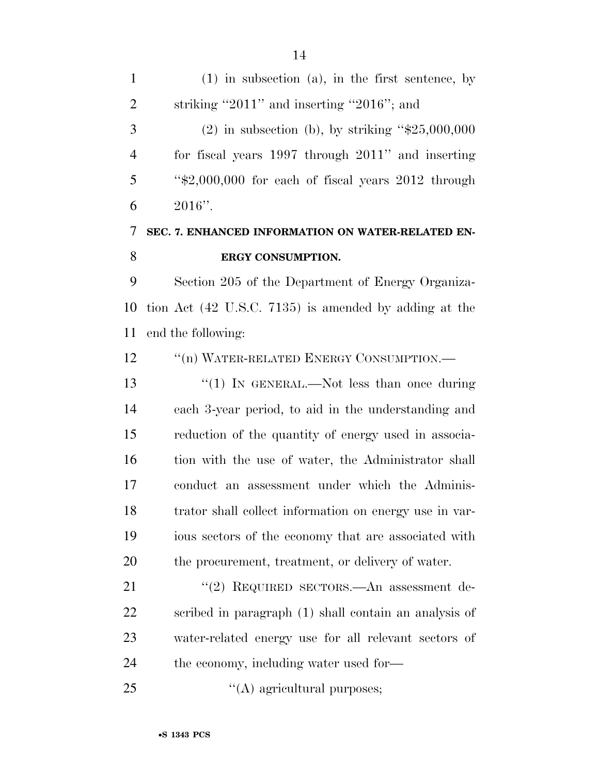| $\mathbf{1}$   | $(1)$ in subsection (a), in the first sentence, by   |
|----------------|------------------------------------------------------|
| 2              | striking "2011" and inserting "2016"; and            |
| 3              | $(2)$ in subsection (b), by striking "\$25,000,000   |
| $\overline{4}$ | for fiscal years 1997 through 2011" and inserting    |
| 5              | " $*2,000,000$ for each of fiscal years 2012 through |
| 6              | $2016"$ .                                            |
| $\tau$         | SEC. 7. ENHANCED INFORMATION ON WATER-RELATED EN-    |
| 8              | ERGY CONSUMPTION.                                    |
| 9              | Section 205 of the Department of Energy Organiza-    |
|                |                                                      |

 tion Act (42 U.S.C. 7135) is amended by adding at the end the following:

12 "(n) WATER-RELATED ENERGY CONSUMPTION.—

13 ''(1) IN GENERAL.—Not less than once during each 3-year period, to aid in the understanding and reduction of the quantity of energy used in associa-16 tion with the use of water, the Administrator shall conduct an assessment under which the Adminis- trator shall collect information on energy use in var- ious sectors of the economy that are associated with the procurement, treatment, or delivery of water.

21 ''(2) REQUIRED SECTORS.—An assessment de- scribed in paragraph (1) shall contain an analysis of water-related energy use for all relevant sectors of 24 the economy, including water used for—

25  $((A)$  agricultural purposes;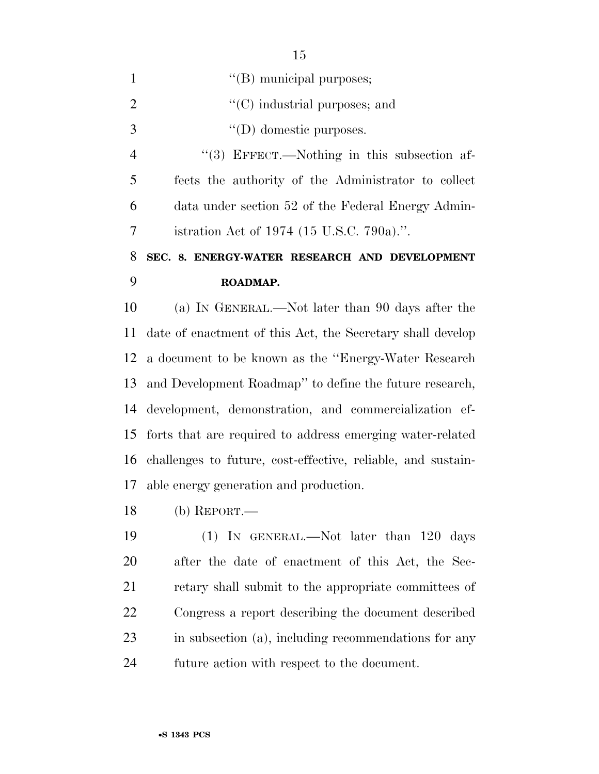| $\mathbf{1}$   | "(B) municipal purposes;                                   |
|----------------|------------------------------------------------------------|
| $\overline{2}$ | $\lq\lq$ industrial purposes; and                          |
| 3              | $\lq\lq$ (D) domestic purposes.                            |
| $\overline{4}$ | $\lq(3)$ EFFECT.—Nothing in this subsection af-            |
| 5              | fects the authority of the Administrator to collect        |
| 6              | data under section 52 of the Federal Energy Admin-         |
| 7              | istration Act of 1974 (15 U.S.C. 790a).".                  |
| 8              | SEC. 8. ENERGY-WATER RESEARCH AND DEVELOPMENT              |
|                |                                                            |
| 9              | ROADMAP.                                                   |
| 10             | (a) IN GENERAL.—Not later than 90 days after the           |
|                | date of enactment of this Act, the Secretary shall develop |
|                | a document to be known as the "Energy-Water Research"      |
| 11<br>12<br>13 | and Development Roadmap" to define the future research,    |
| 14             | development, demonstration, and commercialization ef-      |
| 15             | forts that are required to address emerging water-related  |

able energy generation and production.

(b) REPORT.—

 (1) IN GENERAL.—Not later than 120 days after the date of enactment of this Act, the Sec- retary shall submit to the appropriate committees of Congress a report describing the document described in subsection (a), including recommendations for any future action with respect to the document.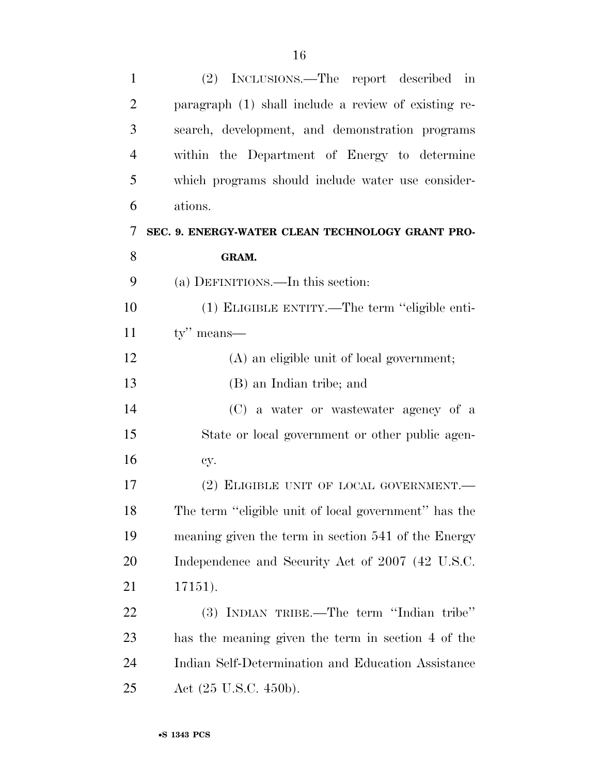| $\mathbf{1}$   | (2) INCLUSIONS.—The report described in              |
|----------------|------------------------------------------------------|
| $\overline{2}$ | paragraph (1) shall include a review of existing re- |
| 3              | search, development, and demonstration programs      |
| $\overline{4}$ | within the Department of Energy to determine         |
| 5              | which programs should include water use consider-    |
| 6              | ations.                                              |
| 7              | SEC. 9. ENERGY-WATER CLEAN TECHNOLOGY GRANT PRO-     |
| 8              | GRAM.                                                |
| 9              | (a) DEFINITIONS.—In this section:                    |
| 10             | (1) ELIGIBLE ENTITY.—The term "eligible enti-        |
| 11             | $\mathbf{tv}$ " means—                               |
| 12             | (A) an eligible unit of local government;            |
| 13             | (B) an Indian tribe; and                             |
| 14             | (C) a water or wastewater agency of a                |
| 15             | State or local government or other public agen-      |
| 16             | cy.                                                  |
| 17             | (2) ELIGIBLE UNIT OF LOCAL GOVERNMENT.               |
| 18             | The term "eligible unit of local government" has the |
| 19             | meaning given the term in section 541 of the Energy  |
| 20             | Independence and Security Act of 2007 (42 U.S.C.     |
| 21             | 17151).                                              |
| 22             | (3) INDIAN TRIBE.—The term "Indian tribe"            |
| 23             | has the meaning given the term in section 4 of the   |
| 24             | Indian Self-Determination and Education Assistance   |
| 25             | Act $(25 \text{ U.S.C. } 450 \text{b}).$             |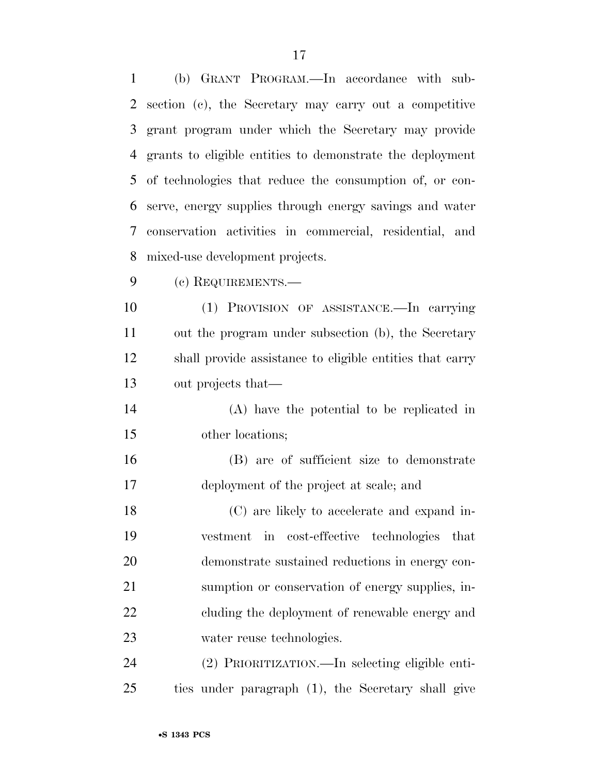(b) GRANT PROGRAM.—In accordance with sub- section (c), the Secretary may carry out a competitive grant program under which the Secretary may provide grants to eligible entities to demonstrate the deployment of technologies that reduce the consumption of, or con- serve, energy supplies through energy savings and water conservation activities in commercial, residential, and mixed-use development projects.

(c) REQUIREMENTS.—

 (1) PROVISION OF ASSISTANCE.—In carrying out the program under subsection (b), the Secretary shall provide assistance to eligible entities that carry out projects that—

- (A) have the potential to be replicated in other locations;
- (B) are of sufficient size to demonstrate deployment of the project at scale; and

 (C) are likely to accelerate and expand in- vestment in cost-effective technologies that demonstrate sustained reductions in energy con- sumption or conservation of energy supplies, in-22 cluding the deployment of renewable energy and water reuse technologies.

 (2) PRIORITIZATION.—In selecting eligible enti-ties under paragraph (1), the Secretary shall give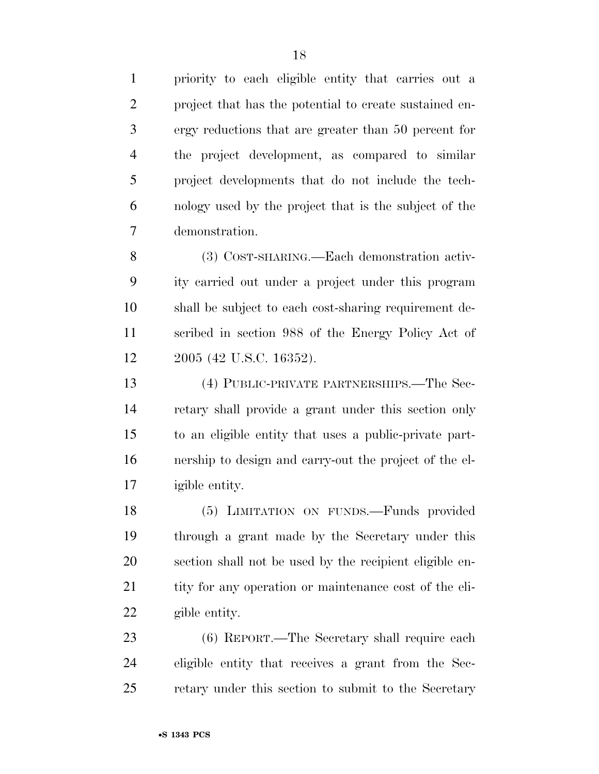priority to each eligible entity that carries out a project that has the potential to create sustained en- ergy reductions that are greater than 50 percent for the project development, as compared to similar project developments that do not include the tech- nology used by the project that is the subject of the demonstration.

 (3) COST-SHARING.—Each demonstration activ- ity carried out under a project under this program shall be subject to each cost-sharing requirement de- scribed in section 988 of the Energy Policy Act of 2005 (42 U.S.C. 16352).

 (4) PUBLIC-PRIVATE PARTNERSHIPS.—The Sec- retary shall provide a grant under this section only to an eligible entity that uses a public-private part- nership to design and carry-out the project of the el-igible entity.

 (5) LIMITATION ON FUNDS.—Funds provided through a grant made by the Secretary under this section shall not be used by the recipient eligible en-21 tity for any operation or maintenance cost of the eli-gible entity.

 (6) REPORT.—The Secretary shall require each eligible entity that receives a grant from the Sec-retary under this section to submit to the Secretary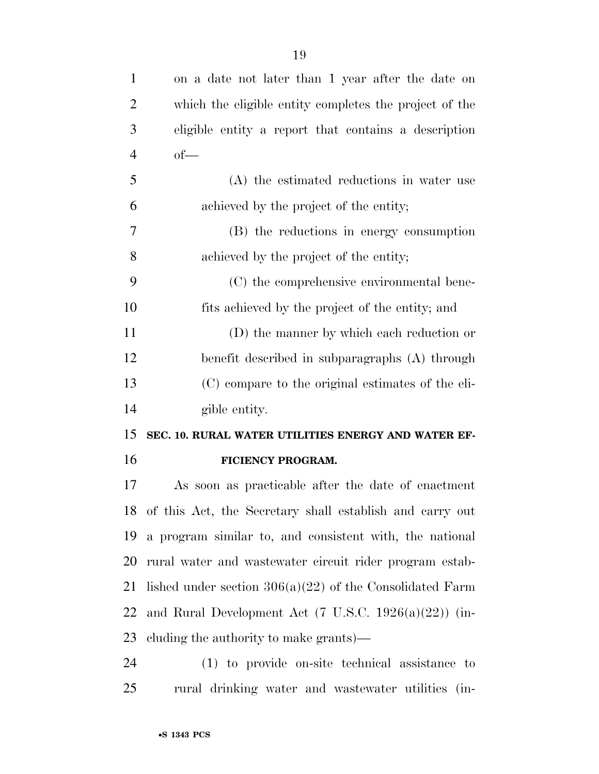| $\mathbf{1}$   | on a date not later than 1 year after the date on                |
|----------------|------------------------------------------------------------------|
| $\overline{2}$ | which the eligible entity completes the project of the           |
| 3              | eligible entity a report that contains a description             |
| $\overline{4}$ | $of$ —                                                           |
| 5              | (A) the estimated reductions in water use                        |
| 6              | achieved by the project of the entity;                           |
| 7              | (B) the reductions in energy consumption                         |
| 8              | achieved by the project of the entity;                           |
| 9              | (C) the comprehensive environmental bene-                        |
| 10             | fits achieved by the project of the entity; and                  |
| 11             | (D) the manner by which each reduction or                        |
| 12             | benefit described in subparagraphs (A) through                   |
| 13             | (C) compare to the original estimates of the eli-                |
| 14             | gible entity.                                                    |
| 15             | SEC. 10. RURAL WATER UTILITIES ENERGY AND WATER EF-              |
| 16             | FICIENCY PROGRAM.                                                |
| 17             | As soon as practicable after the date of enactment               |
|                | 18 of this Act, the Secretary shall establish and carry out      |
|                | 19 a program similar to, and consistent with, the national       |
| 20             | rural water and wastewater circuit rider program estab-          |
| 21             | lished under section $306(a)(22)$ of the Consolidated Farm       |
| 22             | and Rural Development Act $(7 \text{ U.S.C. } 1926(a)(22))$ (in- |
|                | 23 cluding the authority to make grants)—                        |
| $2\pi$         | $(1)$ to provide on site technical assistance to                 |

 (1) to provide on-site technical assistance to rural drinking water and wastewater utilities (in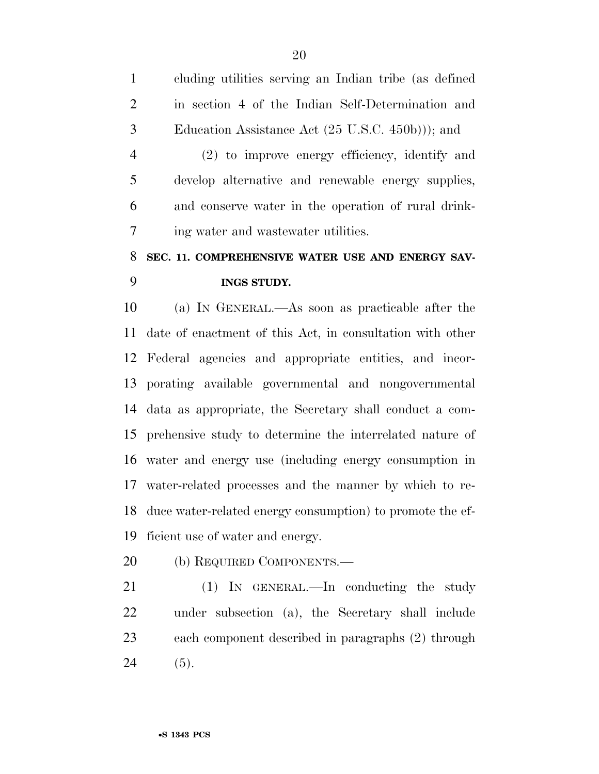cluding utilities serving an Indian tribe (as defined in section 4 of the Indian Self-Determination and Education Assistance Act (25 U.S.C. 450b))); and

 (2) to improve energy efficiency, identify and develop alternative and renewable energy supplies, and conserve water in the operation of rural drink-ing water and wastewater utilities.

### **SEC. 11. COMPREHENSIVE WATER USE AND ENERGY SAV-INGS STUDY.**

 (a) IN GENERAL.—As soon as practicable after the date of enactment of this Act, in consultation with other Federal agencies and appropriate entities, and incor- porating available governmental and nongovernmental data as appropriate, the Secretary shall conduct a com- prehensive study to determine the interrelated nature of water and energy use (including energy consumption in water-related processes and the manner by which to re- duce water-related energy consumption) to promote the ef-ficient use of water and energy.

(b) REQUIRED COMPONENTS.—

 (1) IN GENERAL.—In conducting the study under subsection (a), the Secretary shall include each component described in paragraphs (2) through 24 (5).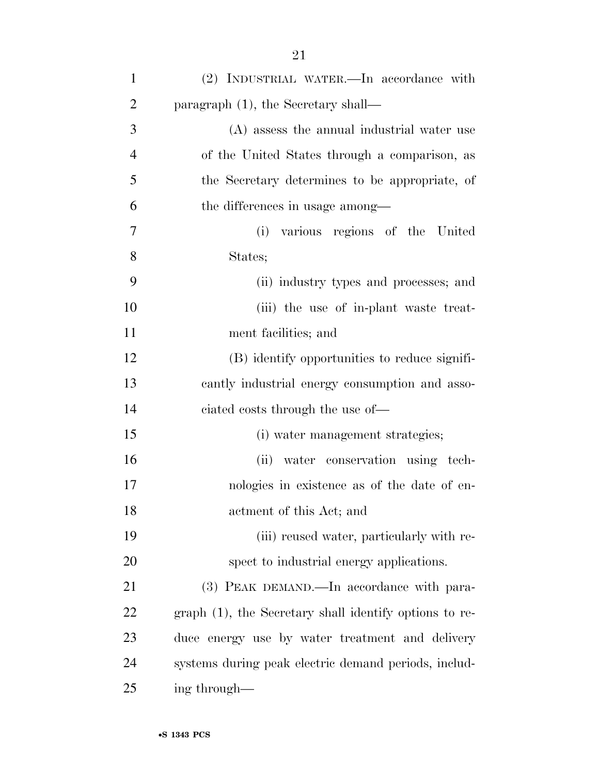| $\mathbf{1}$   | (2) INDUSTRIAL WATER.—In accordance with               |
|----------------|--------------------------------------------------------|
| $\overline{2}$ | paragraph $(1)$ , the Secretary shall—                 |
| 3              | (A) assess the annual industrial water use             |
| $\overline{4}$ | of the United States through a comparison, as          |
| 5              | the Secretary determines to be appropriate, of         |
| 6              | the differences in usage among—                        |
| 7              | various regions of the United<br>(i)                   |
| 8              | States;                                                |
| 9              | (ii) industry types and processes; and                 |
| 10             | (iii) the use of in-plant waste treat-                 |
| 11             | ment facilities; and                                   |
| 12             | (B) identify opportunities to reduce signifi-          |
| 13             | cantly industrial energy consumption and asso-         |
| 14             | ciated costs through the use of-                       |
| 15             | (i) water management strategies;                       |
| 16             | (ii) water conservation using tech-                    |
| 17             | nologies in existence as of the date of en-            |
| 18             | actment of this Act; and                               |
| 19             | (iii) reused water, particularly with re-              |
| 20             | spect to industrial energy applications.               |
| 21             | (3) PEAK DEMAND.—In accordance with para-              |
| <u>22</u>      | graph (1), the Secretary shall identify options to re- |
| 23             | duce energy use by water treatment and delivery        |
| 24             | systems during peak electric demand periods, includ-   |
| 25             | ing through—                                           |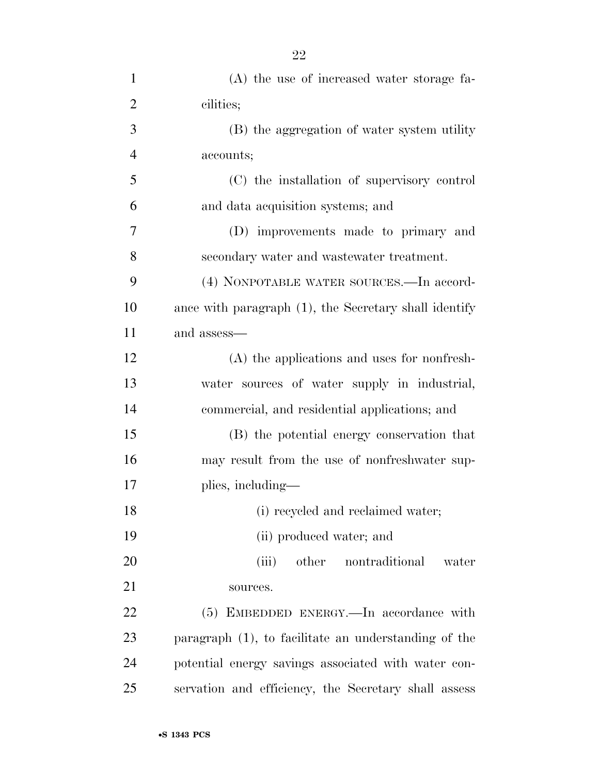| $\mathbf{1}$   | (A) the use of increased water storage fa-            |
|----------------|-------------------------------------------------------|
| $\overline{2}$ | cilities;                                             |
| 3              | (B) the aggregation of water system utility           |
| $\overline{4}$ | accounts;                                             |
| 5              | (C) the installation of supervisory control           |
| 6              | and data acquisition systems; and                     |
| $\overline{7}$ | (D) improvements made to primary and                  |
| 8              | secondary water and wastewater treatment.             |
| 9              | (4) NONPOTABLE WATER SOURCES.—In accord-              |
| 10             | ance with paragraph (1), the Secretary shall identify |
| 11             | and assess—                                           |
| 12             | (A) the applications and uses for nonfresh-           |
| 13             | water sources of water supply in industrial,          |
| 14             | commercial, and residential applications; and         |
| 15             | (B) the potential energy conservation that            |
| 16             | may result from the use of nonfreshwater sup-         |
| 17             | plies, including—                                     |
| 18             | (i) recycled and reclaimed water;                     |
| 19             | (ii) produced water; and                              |
| 20             | (iii)<br>other<br>nontraditional<br>water             |
| 21             | sources.                                              |
| 22             | $(5)$ EMBEDDED ENERGY.—In accordance with             |
| 23             | paragraph (1), to facilitate an understanding of the  |
| 24             | potential energy savings associated with water con-   |
| 25             | servation and efficiency, the Secretary shall assess  |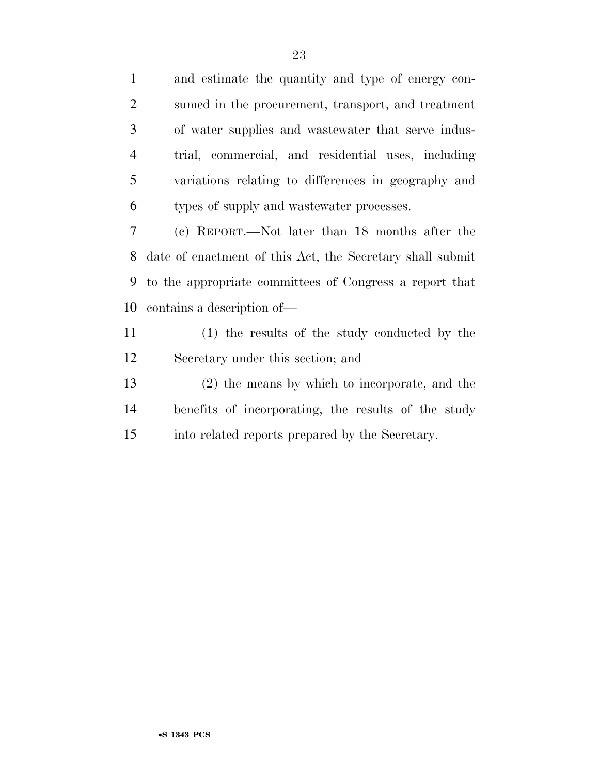and estimate the quantity and type of energy con- sumed in the procurement, transport, and treatment of water supplies and wastewater that serve indus- trial, commercial, and residential uses, including variations relating to differences in geography and types of supply and wastewater processes. (c) REPORT.—Not later than 18 months after the date of enactment of this Act, the Secretary shall submit to the appropriate committees of Congress a report that contains a description of— (1) the results of the study conducted by the

- Secretary under this section; and
- (2) the means by which to incorporate, and the benefits of incorporating, the results of the study into related reports prepared by the Secretary.